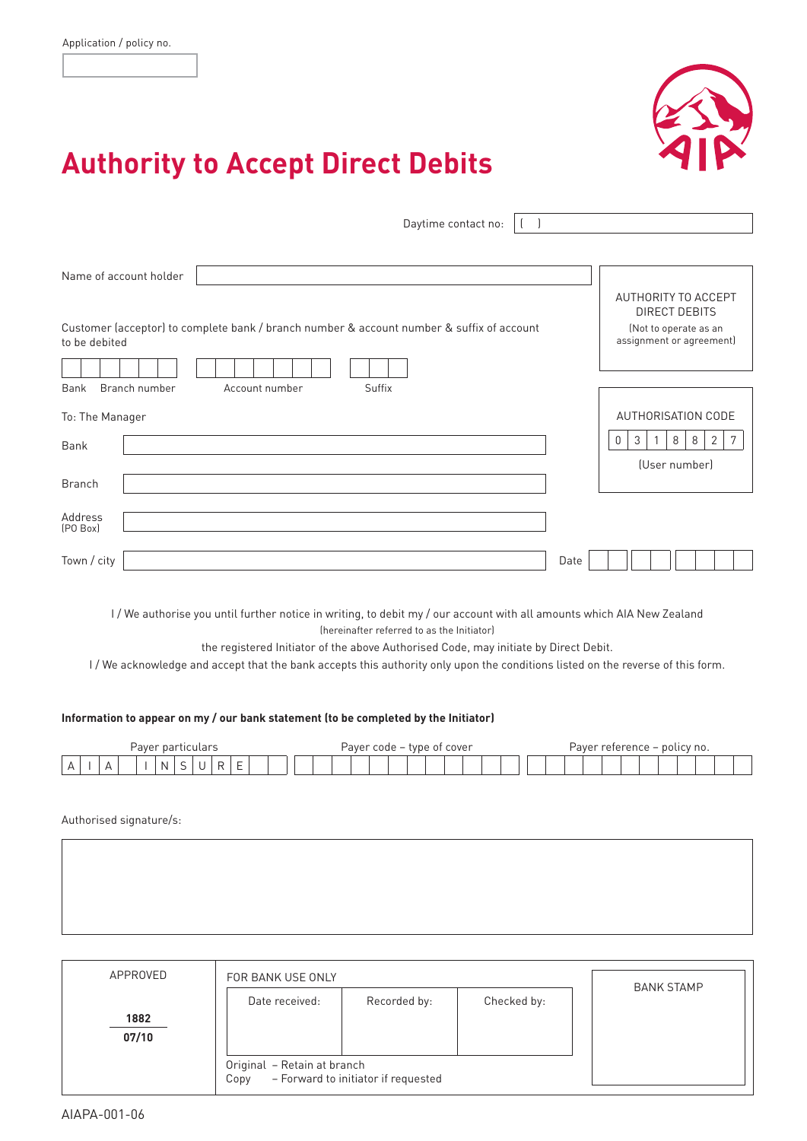

# **Authority to Accept Direct Debits**

| Daytime contact no:                                                                                        |      |                                                   |
|------------------------------------------------------------------------------------------------------------|------|---------------------------------------------------|
|                                                                                                            |      |                                                   |
| Name of account holder                                                                                     |      |                                                   |
|                                                                                                            |      | AUTHORITY TO ACCEPT<br><b>DIRECT DEBITS</b>       |
| Customer (acceptor) to complete bank / branch number & account number & suffix of account<br>to be debited |      | (Not to operate as an<br>assignment or agreement) |
|                                                                                                            |      |                                                   |
| Branch number<br>Suffix<br>Bank<br>Account number                                                          |      |                                                   |
| To: The Manager                                                                                            |      | AUTHORISATION CODE                                |
| Bank                                                                                                       |      | 3<br>2<br>$\mathbf{0}$<br>8<br>8<br>7             |
|                                                                                                            |      | (User number)                                     |
| <b>Branch</b>                                                                                              |      |                                                   |
| Address<br>[PO Box]                                                                                        |      |                                                   |
| Town / city                                                                                                | Date |                                                   |
|                                                                                                            |      |                                                   |

I/We authorise you until further notice in writing, to debit my / our account with all amounts which AIA New Zealand (hereinafter referred to as the Initiator)

the registered Initiator of the above Authorised Code, may initiate by Direct Debit.

I / We acknowledge and accept that the bank accepts this authority only upon the conditions listed on the reverse of this form.

#### **Information to appear on my / our bank statement (to be completed by the Initiator)**

| <sup>.</sup> particulars<br>Paver             | Payer code – type of cover | Payer reference – policy no. |
|-----------------------------------------------|----------------------------|------------------------------|
| N<br><br>-<br>. .<br>$\overline{\phantom{0}}$ |                            |                              |

Authorised signature/s:

| APPROVED      | FOR BANK USE ONLY                                                          |              |             | <b>BANK STAMP</b> |
|---------------|----------------------------------------------------------------------------|--------------|-------------|-------------------|
|               | Date received:                                                             | Recorded by: | Checked by: |                   |
| 1882<br>07/10 |                                                                            |              |             |                   |
|               | Original - Retain at branch<br>- Forward to initiator if requested<br>Copy |              |             |                   |